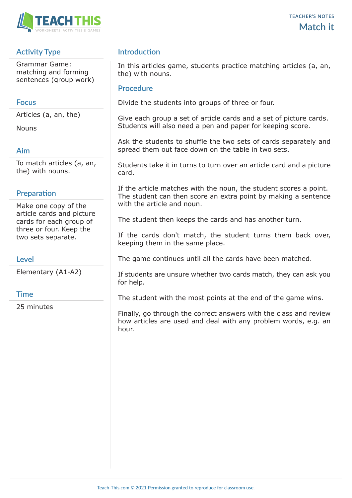

# **Activity Type**

Grammar Game: matching and forming sentences (group work)

## **Focus**

Articles (a, an, the)

Nouns

## **Aim**

To match articles (a, an, the) with nouns.

## **Preparation**

Make one copy of the article cards and picture cards for each group of three or four. Keep the two sets separate.

## **Level**

Elementary (A1-A2)

## **Time**

25 minutes

# **Introduction**

In this articles game, students practice matching articles (a, an, the) with nouns.

#### **Procedure**

Divide the students into groups of three or four.

Give each group a set of article cards and a set of picture cards. Students will also need a pen and paper for keeping score.

Ask the students to shuffle the two sets of cards separately and spread them out face down on the table in two sets.

Students take it in turns to turn over an article card and a picture card.

If the article matches with the noun, the student scores a point. The student can then score an extra point by making a sentence with the article and noun.

The student then keeps the cards and has another turn.

If the cards don't match, the student turns them back over, keeping them in the same place.

The game continues until all the cards have been matched.

If students are unsure whether two cards match, they can ask you for help.

The student with the most points at the end of the game wins.

Finally, go through the correct answers with the class and review how articles are used and deal with any problem words, e.g. an hour.